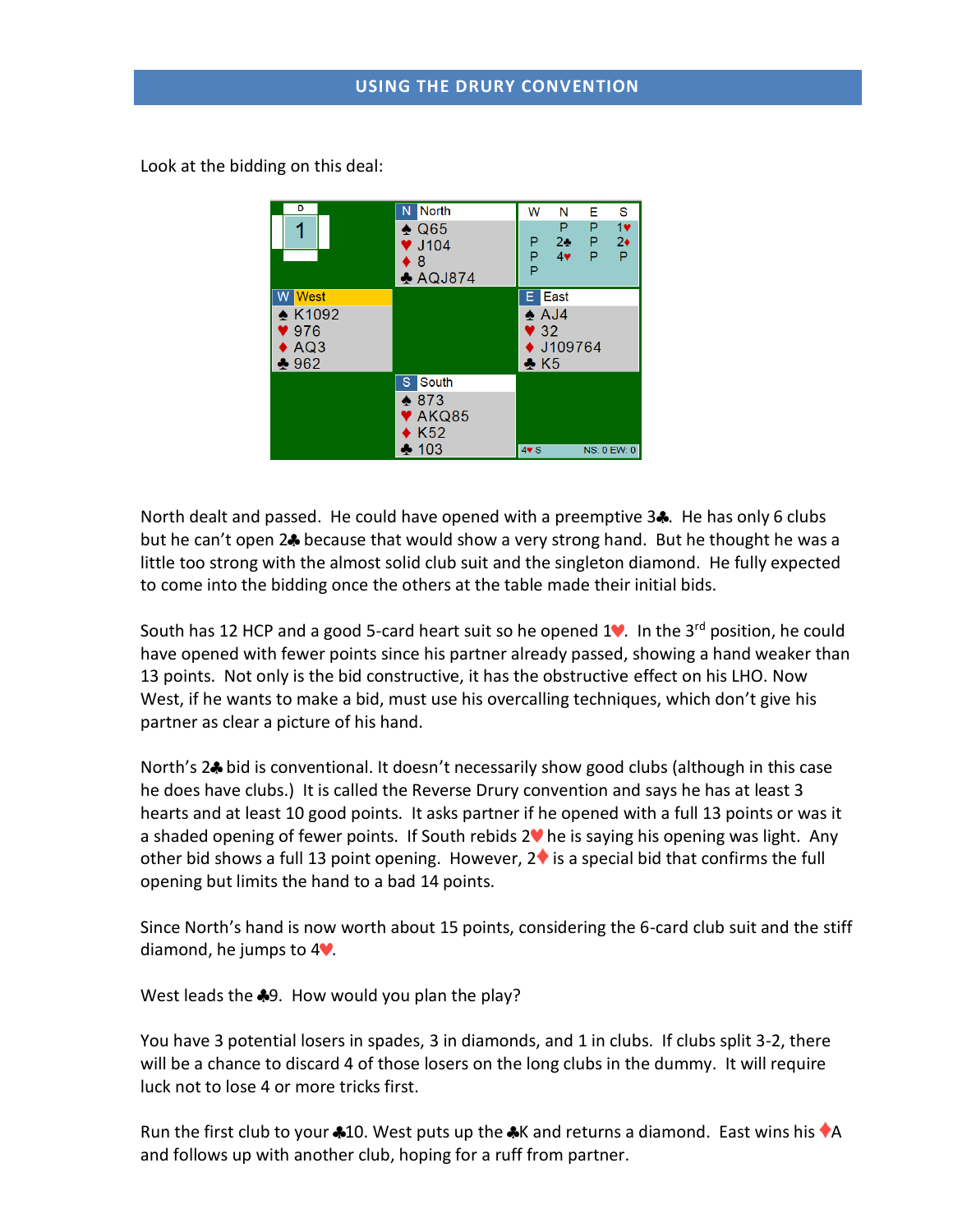Look at the bidding on this deal:

| D<br>1                                                                           | <b>North</b><br>N<br>$\spadesuit$ Q65<br>$\blacktriangledown$ J104<br>♦ 8<br>$\triangle$ AQJ874  | S<br>W<br>Е<br>N<br>1<br>P<br>P<br>Ρ<br>$2*$<br>$2\bullet$<br>P<br>P<br>P<br>4<br>Ρ<br>P        |
|----------------------------------------------------------------------------------|--------------------------------------------------------------------------------------------------|-------------------------------------------------------------------------------------------------|
| <b>West</b><br>w<br><b>★ K1092</b><br>976<br>$\blacktriangleright$ AQ3<br>$*962$ |                                                                                                  | East<br>E.<br>$\triangle$ AJ4<br>$\blacktriangledown$ 32<br>$\bullet$ J109764<br>$\clubsuit$ K5 |
|                                                                                  | S South<br>$\bullet$ 873<br>$\blacktriangledown$ AKQ85<br>$\blacklozenge$ K52<br>$\clubsuit$ 103 | $4\blacktriangledown S$<br><b>NS: 0 EW: 0</b>                                                   |

North dealt and passed. He could have opened with a preemptive  $3\clubsuit$ . He has only 6 clubs but he can't open 2<sup>4</sup> because that would show a very strong hand. But he thought he was a little too strong with the almost solid club suit and the singleton diamond. He fully expected to come into the bidding once the others at the table made their initial bids.

South has 12 HCP and a good 5-card heart suit so he opened  $1^{\circ}$ . In the 3<sup>rd</sup> position, he could have opened with fewer points since his partner already passed, showing a hand weaker than 13 points. Not only is the bid constructive, it has the obstructive effect on his LHO. Now West, if he wants to make a bid, must use his overcalling techniques, which don't give his partner as clear a picture of his hand.

North's 2<sup>4</sup> bid is conventional. It doesn't necessarily show good clubs (although in this case he does have clubs.) It is called the Reverse Drury convention and says he has at least 3 hearts and at least 10 good points. It asks partner if he opened with a full 13 points or was it a shaded opening of fewer points. If South rebids  $2\Psi$  he is saying his opening was light. Any other bid shows a full 13 point opening. However,  $2\bullet$  is a special bid that confirms the full opening but limits the hand to a bad 14 points.

Since North's hand is now worth about 15 points, considering the 6-card club suit and the stiff diamond, he jumps to  $4\degree$ .

West leads the  $\clubsuit 9$ . How would you plan the play?

You have 3 potential losers in spades, 3 in diamonds, and 1 in clubs. If clubs split 3-2, there will be a chance to discard 4 of those losers on the long clubs in the dummy. It will require luck not to lose 4 or more tricks first.

Run the first club to your  $*10$ . West puts up the  $*K$  and returns a diamond. East wins his  $*A$ and follows up with another club, hoping for a ruff from partner.